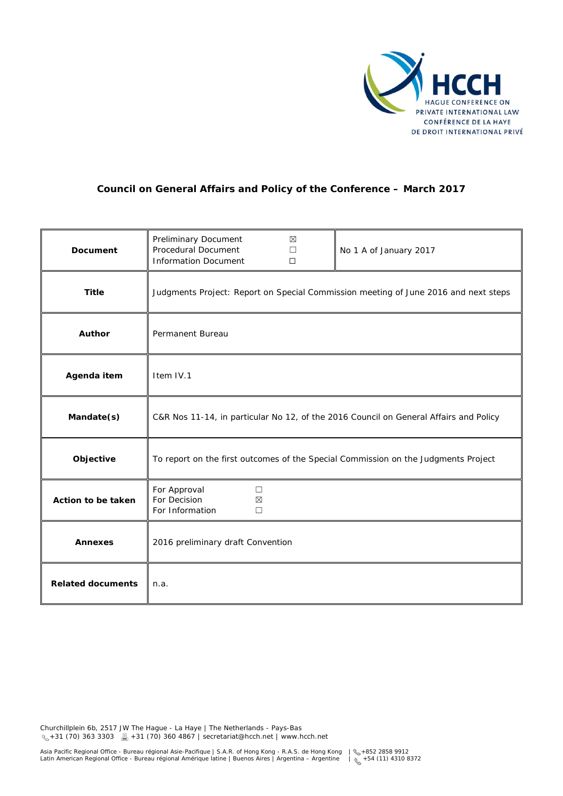

## **Council on General Affairs and Policy of the Conference – March 2017**

| <b>Document</b>          | Preliminary Document<br>Procedural Document<br><b>Information Document</b>            | ⊠<br>$\Box$<br>$\Box$ | No 1 A of January 2017 |
|--------------------------|---------------------------------------------------------------------------------------|-----------------------|------------------------|
| <b>Title</b>             | Judgments Project: Report on Special Commission meeting of June 2016 and next steps   |                       |                        |
| <b>Author</b>            | Permanent Bureau                                                                      |                       |                        |
| Agenda item              | Item IV.1                                                                             |                       |                        |
| Mandate(s)               | C&R Nos 11-14, in particular No 12, of the 2016 Council on General Affairs and Policy |                       |                        |
| Objective                | To report on the first outcomes of the Special Commission on the Judgments Project    |                       |                        |
| Action to be taken       | For Approval<br>□<br>For Decision<br>⊠<br>For Information<br>$\Box$                   |                       |                        |
| <b>Annexes</b>           | 2016 preliminary draft Convention                                                     |                       |                        |
| <b>Related documents</b> | n.a.                                                                                  |                       |                        |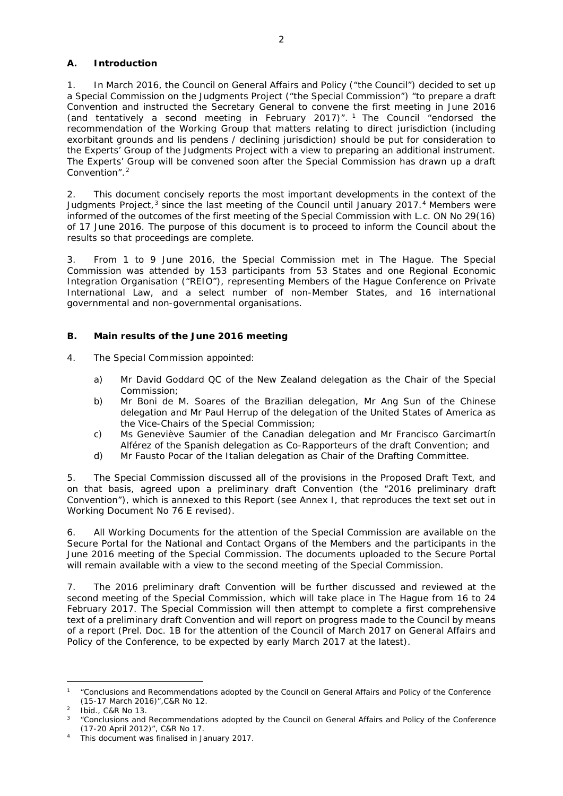## **A. Introduction**

1. In March 2016, the Council on General Affairs and Policy ("the Council") decided to set up a Special Commission on the Judgments Project ("the Special Commission") "to prepare a draft Convention and instructed the Secretary General to convene the first meeting in June 2016 (and tentatively a second meeting in February 20[1](#page-1-0)7)".<sup>1</sup> The Council "endorsed the recommendation of the Working Group that matters relating to direct jurisdiction (including exorbitant grounds and *lis pendens* / declining jurisdiction) should be put for consideration to the Experts' Group of the Judgments Project with a view to preparing an additional instrument. The Experts' Group will be convened soon after the Special Commission has drawn up a draft Convention".<sup>[2](#page-1-1)</sup>

2. This document concisely reports the most important developments in the context of the Judgments Project, $3$  since the last meeting of the Council until January 2017. $4$  Members were informed of the outcomes of the first meeting of the Special Commission with L.c. ON No 29(16) of 17 June 2016. The purpose of this document is to proceed to inform the Council about the results so that proceedings are complete.

3. From 1 to 9 June 2016, the Special Commission met in The Hague. The Special Commission was attended by 153 participants from 53 States and one Regional Economic Integration Organisation ("REIO"), representing Members of the Hague Conference on Private International Law, and a select number of non-Member States, and 16 international governmental and non-governmental organisations.

### **B. Main results of the June 2016 meeting**

4. The Special Commission appointed:

- a) Mr David Goddard QC of the New Zealand delegation as the Chair of the Special Commission;
- b) Mr Boni de M. Soares of the Brazilian delegation, Mr Ang Sun of the Chinese delegation and Mr Paul Herrup of the delegation of the United States of America as the Vice-Chairs of the Special Commission;
- c) Ms Geneviève Saumier of the Canadian delegation and Mr Francisco Garcimartín Alférez of the Spanish delegation as *Co-Rapporteurs* of the draft Convention; and
- d) Mr Fausto Pocar of the Italian delegation as Chair of the Drafting Committee.

5. The Special Commission discussed all of the provisions in the Proposed Draft Text, and on that basis, agreed upon a preliminary draft Convention (the "2016 preliminary draft Convention"), which is annexed to this Report (see Annex I, that reproduces the text set out in Working Document No 76 E revised).

6. All Working Documents for the attention of the Special Commission are available on the Secure Portal for the National and Contact Organs of the Members and the participants in the June 2016 meeting of the Special Commission. The documents uploaded to the Secure Portal will remain available with a view to the second meeting of the Special Commission.

7. The 2016 preliminary draft Convention will be further discussed and reviewed at the second meeting of the Special Commission, which will take place in The Hague from 16 to 24 February 2017. The Special Commission will then attempt to complete a first comprehensive text of a preliminary draft Convention and will report on progress made to the Council by means of a report (Prel. Doc. 1B for the attention of the Council of March 2017 on General Affairs and Policy of the Conference, to be expected by early March 2017 at the latest).

<span id="page-1-0"></span><sup>&</sup>lt;u>.</u> <sup>1</sup> "Conclusions and Recommendations adopted by the Council on General Affairs and Policy of the Conference (15-17 March 2016)",C&R No 12.

<span id="page-1-1"></span><sup>2</sup> *Ibid.*, C&R No 13.

<span id="page-1-2"></span><sup>3</sup> "Conclusions and Recommendations adopted by the Council on General Affairs and Policy of the Conference

<span id="page-1-3"></span><sup>(17-20</sup> April 2012)", C&R No 17.<br>This document was finalised in January 2017.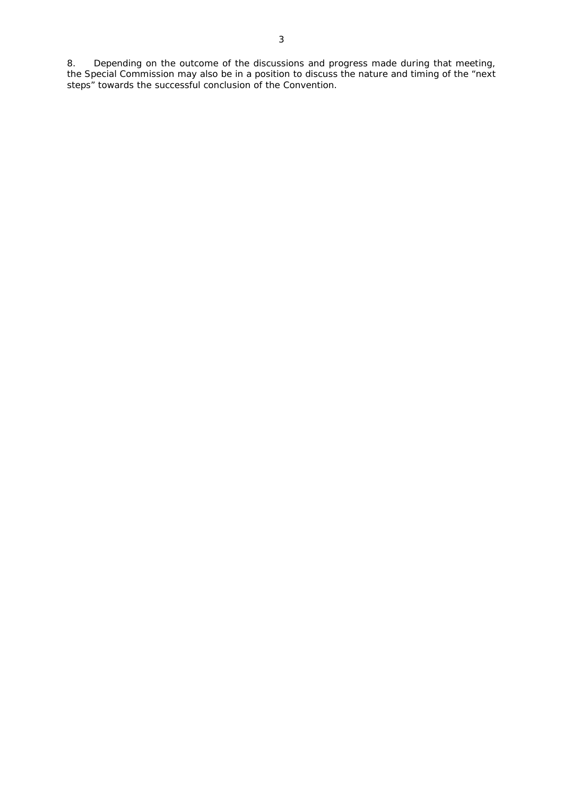8. Depending on the outcome of the discussions and progress made during that meeting, the Special Commission may also be in a position to discuss the nature and timing of the "next steps" towards the successful conclusion of the Convention.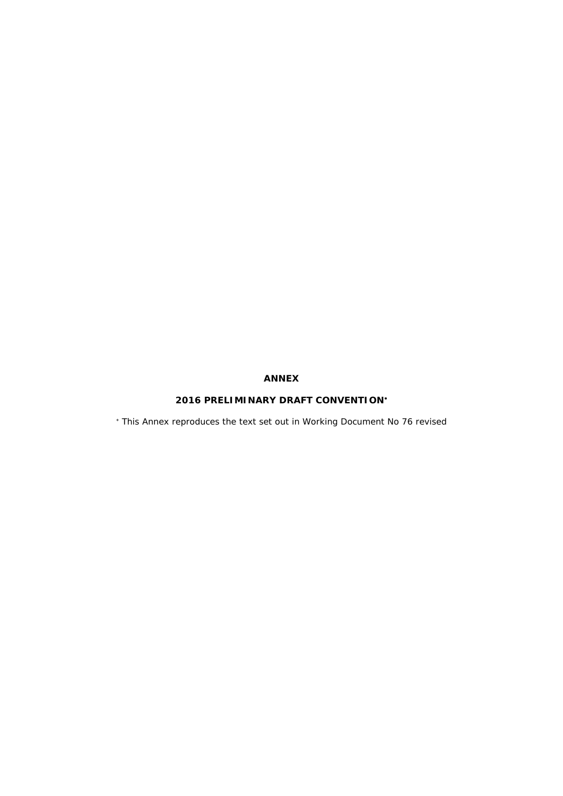## **ANNEX**

## **2016 PRELIMINARY DRAFT CONVENTION**<sup>∗</sup>

<sup>∗</sup> This Annex reproduces the text set out in Working Document No 76 revised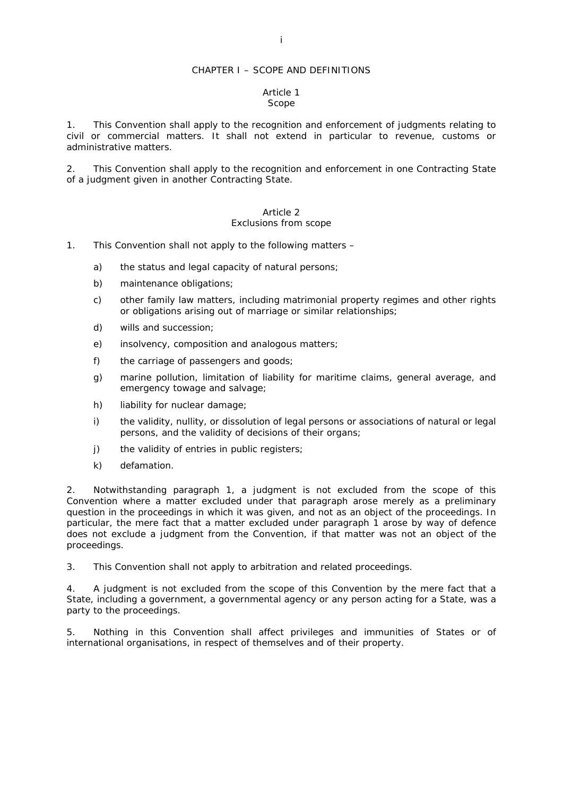### CHAPTER I – SCOPE AND DEFINITIONS

#### Article 1 *Scope*

1. This Convention shall apply to the recognition and enforcement of judgments relating to civil or commercial matters. It shall not extend in particular to revenue, customs or administrative matters.

2. This Convention shall apply to the recognition and enforcement in one Contracting State of a judgment given in another Contracting State.

#### Article 2 *Exclusions from scope*

1. This Convention shall not apply to the following matters –

- *a)* the status and legal capacity of natural persons;
- *b)* maintenance obligations;
- *c)* other family law matters, including matrimonial property regimes and other rights or obligations arising out of marriage or similar relationships;
- *d)* wills and succession;
- *e)* insolvency, composition and analogous matters;
- *f)* the carriage of passengers and goods;
- *g)* marine pollution, limitation of liability for maritime claims, general average, and emergency towage and salvage;
- *h)* liability for nuclear damage;
- *i)* the validity, nullity, or dissolution of legal persons or associations of natural or legal persons, and the validity of decisions of their organs;
- *j)* the validity of entries in public registers;
- *k)* defamation.

2. Notwithstanding paragraph 1, a judgment is not excluded from the scope of this Convention where a matter excluded under that paragraph arose merely as a preliminary question in the proceedings in which it was given, and not as an object of the proceedings. In particular, the mere fact that a matter excluded under paragraph 1 arose by way of defence does not exclude a judgment from the Convention, if that matter was not an object of the proceedings.

3. This Convention shall not apply to arbitration and related proceedings.

4. A judgment is not excluded from the scope of this Convention by the mere fact that a State, including a government, a governmental agency or any person acting for a State, was a party to the proceedings.

5. Nothing in this Convention shall affect privileges and immunities of States or of international organisations, in respect of themselves and of their property.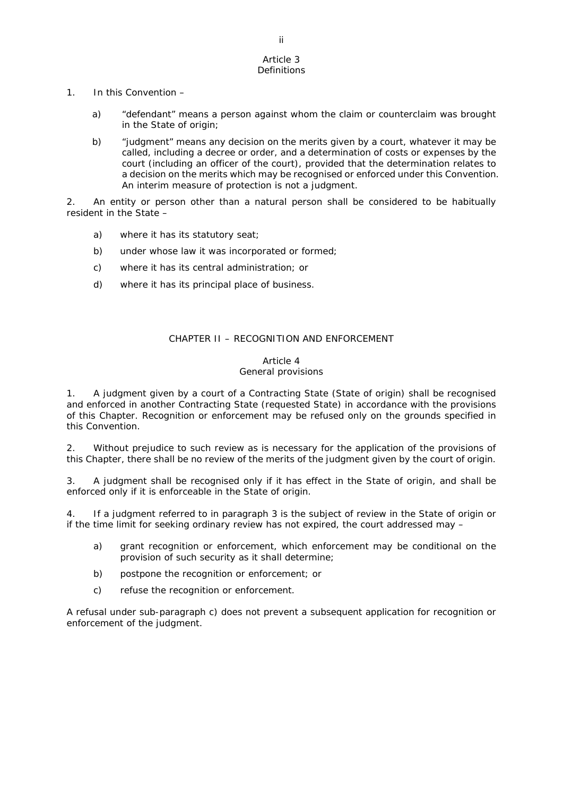### Article 3 *Definitions*

- 1. In this Convention
	- *a)* "defendant" means a person against whom the claim or counterclaim was brought in the State of origin;
	- *b)* "judgment" means any decision on the merits given by a court, whatever it may be called, including a decree or order, and a determination of costs or expenses by the court (including an officer of the court), provided that the determination relates to a decision on the merits which may be recognised or enforced under this Convention. An interim measure of protection is not a judgment.

2. An entity or person other than a natural person shall be considered to be habitually resident in the State –

- *a)* where it has its statutory seat;
- *b)* under whose law it was incorporated or formed;
- *c)* where it has its central administration; or
- *d)* where it has its principal place of business.

## CHAPTER II – RECOGNITION AND ENFORCEMENT

#### Article 4 *General provisions*

1. A judgment given by a court of a Contracting State (State of origin) shall be recognised and enforced in another Contracting State (requested State) in accordance with the provisions of this Chapter. Recognition or enforcement may be refused only on the grounds specified in this Convention.

2. Without prejudice to such review as is necessary for the application of the provisions of this Chapter, there shall be no review of the merits of the judgment given by the court of origin.

3. A judgment shall be recognised only if it has effect in the State of origin, and shall be enforced only if it is enforceable in the State of origin.

4. If a judgment referred to in paragraph 3 is the subject of review in the State of origin or if the time limit for seeking ordinary review has not expired, the court addressed may –

- *a)* grant recognition or enforcement, which enforcement may be conditional on the provision of such security as it shall determine;
- *b)* postpone the recognition or enforcement; or
- *c)* refuse the recognition or enforcement.

A refusal under sub-paragraph *c)* does not prevent a subsequent application for recognition or enforcement of the judgment.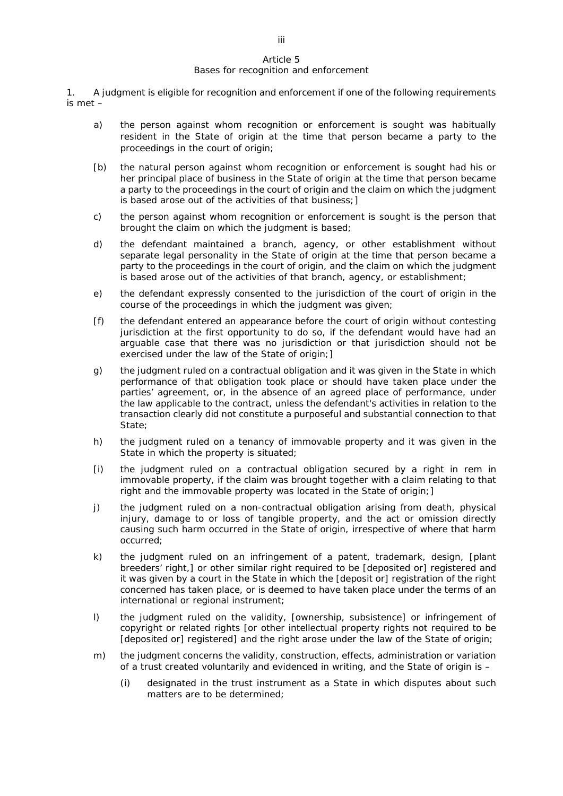#### Article 5 *Bases for recognition and enforcement*

1. A judgment is eligible for recognition and enforcement if one of the following requirements is met –

- *a)* the person against whom recognition or enforcement is sought was habitually resident in the State of origin at the time that person became a party to the proceedings in the court of origin;
- [*b)* the natural person against whom recognition or enforcement is sought had his or her principal place of business in the State of origin at the time that person became a party to the proceedings in the court of origin and the claim on which the judgment is based arose out of the activities of that business;]
- *c)* the person against whom recognition or enforcement is sought is the person that brought the claim on which the judgment is based;
- *d)* the defendant maintained a branch, agency, or other establishment without separate legal personality in the State of origin at the time that person became a party to the proceedings in the court of origin, and the claim on which the judgment is based arose out of the activities of that branch, agency, or establishment;
- *e)* the defendant expressly consented to the jurisdiction of the court of origin in the course of the proceedings in which the judgment was given;
- [*f)* the defendant entered an appearance before the court of origin without contesting jurisdiction at the first opportunity to do so, if the defendant would have had an arguable case that there was no jurisdiction or that jurisdiction should not be exercised under the law of the State of origin;]
- *g*) the judgment ruled on a contractual obligation and it was given in the State in which performance of that obligation took place or should have taken place under the parties' agreement, or, in the absence of an agreed place of performance, under the law applicable to the contract, unless the defendant's activities in relation to the transaction clearly did not constitute a purposeful and substantial connection to that State;
- *h)* the judgment ruled on a tenancy of immovable property and it was given in the State in which the property is situated;
- [*i)* the judgment ruled on a contractual obligation secured by a right in rem in immovable property, if the claim was brought together with a claim relating to that right and the immovable property was located in the State of origin;]
- *j)* the judgment ruled on a non-contractual obligation arising from death, physical injury, damage to or loss of tangible property, and the act or omission directly causing such harm occurred in the State of origin, irrespective of where that harm occurred;
- *k)* the judgment ruled on an infringement of a patent, trademark, design, [plant breeders' right,] or other similar right required to be [deposited or] registered and it was given by a court in the State in which the [deposit or] registration of the right concerned has taken place, or is deemed to have taken place under the terms of an international or regional instrument;
- *l)* the judgment ruled on the validity, [ownership, subsistence] or infringement of copyright or related rights [or other intellectual property rights not required to be [deposited or] registered] and the right arose under the law of the State of origin;
- *m)* the judgment concerns the validity, construction, effects, administration or variation of a trust created voluntarily and evidenced in writing, and the State of origin is –
	- (i) designated in the trust instrument as a State in which disputes about such matters are to be determined;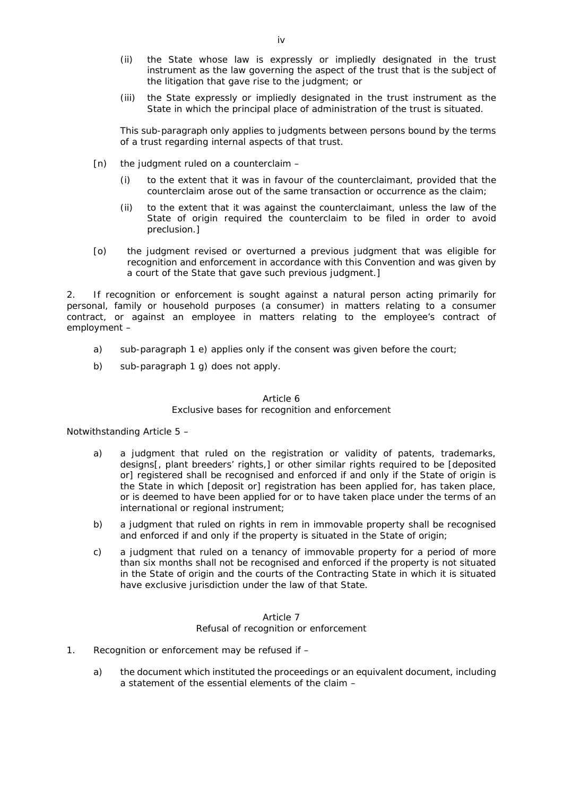- (ii) the State whose law is expressly or impliedly designated in the trust instrument as the law governing the aspect of the trust that is the subject of the litigation that gave rise to the judgment; or
- (iii) the State expressly or impliedly designated in the trust instrument as the State in which the principal place of administration of the trust is situated.

This sub-paragraph only applies to judgments between persons bound by the terms of a trust regarding internal aspects of that trust.

- [n] the judgment ruled on a counterclaim
	- (i) to the extent that it was in favour of the counterclaimant, provided that the counterclaim arose out of the same transaction or occurrence as the claim;
	- (ii) to the extent that it was against the counterclaimant, unless the law of the State of origin required the counterclaim to be filed in order to avoid preclusion.]
- [*o)* the judgment revised or overturned a previous judgment that was eligible for recognition and enforcement in accordance with this Convention and was given by a court of the State that gave such previous judgment.]

2. If recognition or enforcement is sought against a natural person acting primarily for personal, family or household purposes (a consumer) in matters relating to a consumer contract, or against an employee in matters relating to the employee's contract of employment –

- *a)* sub-paragraph 1 *e)* applies only if the consent was given before the court;
- *b)* sub-paragraph 1 *g)* does not apply.

## Article 6

## *Exclusive bases for recognition and enforcement*

Notwithstanding Article 5 –

- *a)* a judgment that ruled on the registration or validity of patents, trademarks, designs[, plant breeders' rights,] or other similar rights required to be [deposited or] registered shall be recognised and enforced if and only if the State of origin is the State in which [deposit or] registration has been applied for, has taken place, or is deemed to have been applied for or to have taken place under the terms of an international or regional instrument;
- *b)* a judgment that ruled on rights *in rem* in immovable property shall be recognised and enforced if and only if the property is situated in the State of origin;
- *c)* a judgment that ruled on a tenancy of immovable property for a period of more than six months shall not be recognised and enforced if the property is not situated in the State of origin and the courts of the Contracting State in which it is situated have exclusive jurisdiction under the law of that State.

#### Article 7 *Refusal of recognition or enforcement*

- 1. Recognition or enforcement may be refused if
	- *a)* the document which instituted the proceedings or an equivalent document, including a statement of the essential elements of the claim –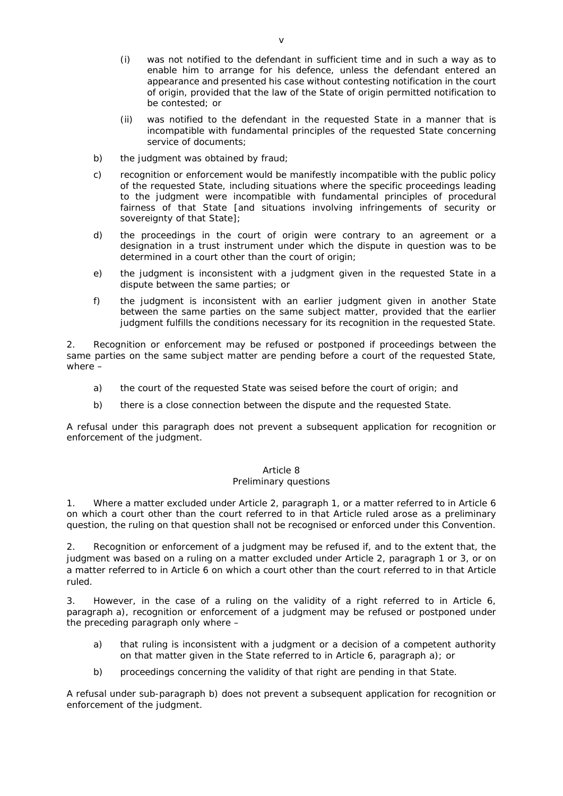- (i) was not notified to the defendant in sufficient time and in such a way as to enable him to arrange for his defence, unless the defendant entered an appearance and presented his case without contesting notification in the court of origin, provided that the law of the State of origin permitted notification to be contested; or
- (ii) was notified to the defendant in the requested State in a manner that is incompatible with fundamental principles of the requested State concerning service of documents;
- *b)* the judgment was obtained by fraud;
- *c)* recognition or enforcement would be manifestly incompatible with the public policy of the requested State, including situations where the specific proceedings leading to the judgment were incompatible with fundamental principles of procedural fairness of that State [and situations involving infringements of security or sovereignty of that State];
- *d)* the proceedings in the court of origin were contrary to an agreement or a designation in a trust instrument under which the dispute in question was to be determined in a court other than the court of origin;
- *e*) the judgment is inconsistent with a judgment given in the requested State in a dispute between the same parties; or
- *f)* the judgment is inconsistent with an earlier judgment given in another State between the same parties on the same subject matter, provided that the earlier judgment fulfills the conditions necessary for its recognition in the requested State.

2. Recognition or enforcement may be refused or postponed if proceedings between the same parties on the same subject matter are pending before a court of the requested State, where –

- *a)* the court of the requested State was seised before the court of origin; and
- *b)* there is a close connection between the dispute and the requested State.

A refusal under this paragraph does not prevent a subsequent application for recognition or enforcement of the judgment.

#### Article 8

#### *Preliminary questions*

1. Where a matter excluded under Article 2, paragraph 1, or a matter referred to in Article 6 on which a court other than the court referred to in that Article ruled arose as a preliminary question, the ruling on that question shall not be recognised or enforced under this Convention.

2. Recognition or enforcement of a judgment may be refused if, and to the extent that, the judgment was based on a ruling on a matter excluded under Article 2, paragraph 1 or 3, or on a matter referred to in Article 6 on which a court other than the court referred to in that Article ruled.

3. However, in the case of a ruling on the validity of a right referred to in Article 6, paragraph *a)*, recognition or enforcement of a judgment may be refused or postponed under the preceding paragraph only where –

- *a)* that ruling is inconsistent with a judgment or a decision of a competent authority on that matter given in the State referred to in Article 6, paragraph *a)*; or
- *b)* proceedings concerning the validity of that right are pending in that State.

A refusal under sub-paragraph *b)* does not prevent a subsequent application for recognition or enforcement of the judgment.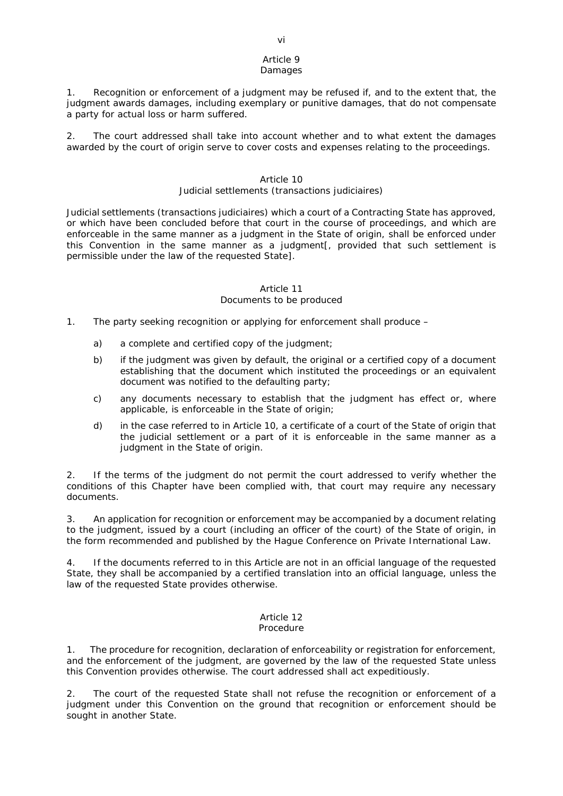#### Article 9 *Damages*

1. Recognition or enforcement of a judgment may be refused if, and to the extent that, the judgment awards damages, including exemplary or punitive damages, that do not compensate a party for actual loss or harm suffered.

2. The court addressed shall take into account whether and to what extent the damages awarded by the court of origin serve to cover costs and expenses relating to the proceedings.

### Article 10

### *Judicial settlements* (transactions judiciaires)

Judicial settlements (*transactions judiciaires*) which a court of a Contracting State has approved, or which have been concluded before that court in the course of proceedings, and which are enforceable in the same manner as a judgment in the State of origin, shall be enforced under this Convention in the same manner as a judgment[, provided that such settlement is permissible under the law of the requested State].

#### Article 11 *Documents to be produced*

- 1. The party seeking recognition or applying for enforcement shall produce
	- *a)* a complete and certified copy of the judgment;
	- *b)* if the judgment was given by default, the original or a certified copy of a document establishing that the document which instituted the proceedings or an equivalent document was notified to the defaulting party;
	- *c)* any documents necessary to establish that the judgment has effect or, where applicable, is enforceable in the State of origin;
	- *d)* in the case referred to in Article 10, a certificate of a court of the State of origin that the judicial settlement or a part of it is enforceable in the same manner as a judgment in the State of origin.

2. If the terms of the judgment do not permit the court addressed to verify whether the conditions of this Chapter have been complied with, that court may require any necessary documents.

3. An application for recognition or enforcement may be accompanied by a document relating to the judgment, issued by a court (including an officer of the court) of the State of origin, in the form recommended and published by the Hague Conference on Private International Law.

4. If the documents referred to in this Article are not in an official language of the requested State, they shall be accompanied by a certified translation into an official language, unless the law of the requested State provides otherwise.

# Article 12

#### *Procedure*

1. The procedure for recognition, declaration of enforceability or registration for enforcement, and the enforcement of the judgment, are governed by the law of the requested State unless this Convention provides otherwise. The court addressed shall act expeditiously.

2. The court of the requested State shall not refuse the recognition or enforcement of a judgment under this Convention on the ground that recognition or enforcement should be sought in another State.